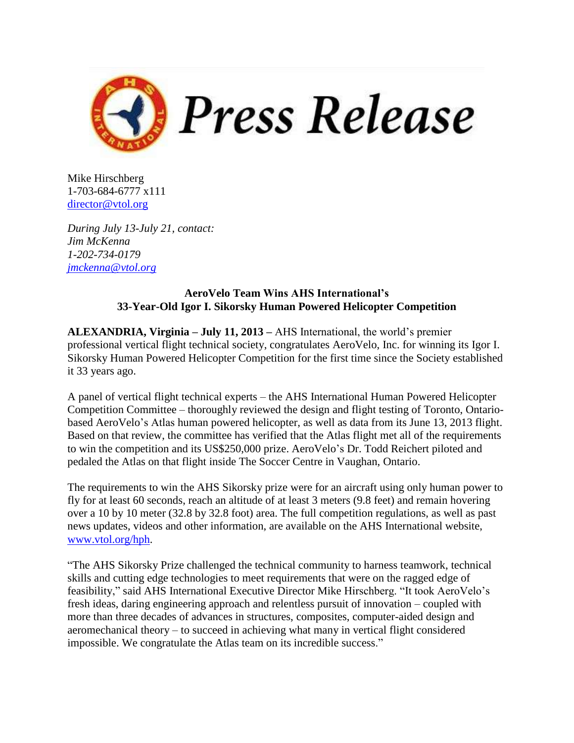

Mike Hirschberg 1-703-684-6777 x111 [director@vtol.org](mailto:director@vtol.org)

*During July 13-July 21, contact: Jim McKenna 1-202-734-0179 [jmckenna@vtol.org](mailto:jmckenna@vtol.org)*

## **AeroVelo Team Wins AHS International's 33-Year-Old Igor I. Sikorsky Human Powered Helicopter Competition**

**ALEXANDRIA, Virginia – July 11, 2013 –** AHS International, the world's premier professional vertical flight technical society, congratulates AeroVelo, Inc. for winning its Igor I. Sikorsky Human Powered Helicopter Competition for the first time since the Society established it 33 years ago.

A panel of vertical flight technical experts – the AHS International Human Powered Helicopter Competition Committee – thoroughly reviewed the design and flight testing of Toronto, Ontariobased AeroVelo's Atlas human powered helicopter, as well as data from its June 13, 2013 flight. Based on that review, the committee has verified that the Atlas flight met all of the requirements to win the competition and its US\$250,000 prize. AeroVelo's Dr. Todd Reichert piloted and pedaled the Atlas on that flight inside The Soccer Centre in Vaughan, Ontario.

The requirements to win the AHS Sikorsky prize were for an aircraft using only human power to fly for at least 60 seconds, reach an altitude of at least 3 meters (9.8 feet) and remain hovering over a 10 by 10 meter (32.8 by 32.8 foot) area. The full competition regulations, as well as past news updates, videos and other information, are available on the AHS International website, [www.vtol.org/hph.](file:///C:/Users/Jim%20McKenna/Downloads/www.vtol.org/hph)

"The AHS Sikorsky Prize challenged the technical community to harness teamwork, technical skills and cutting edge technologies to meet requirements that were on the ragged edge of feasibility," said AHS International Executive Director Mike Hirschberg. "It took AeroVelo's fresh ideas, daring engineering approach and relentless pursuit of innovation – coupled with more than three decades of advances in structures, composites, computer-aided design and aeromechanical theory – to succeed in achieving what many in vertical flight considered impossible. We congratulate the Atlas team on its incredible success."